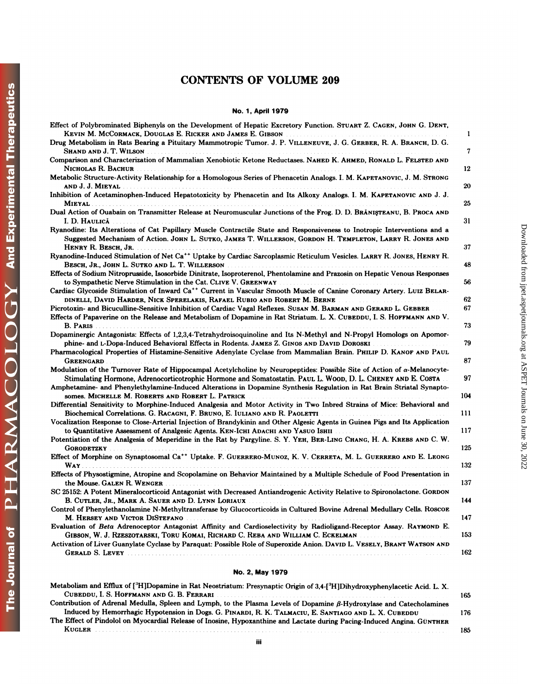## CONTENTS OF VOLUME 209 **No. 1, April 1979**<br>No. 1, April 1979<br>A<sup>6</sup> User in Republic

| <b>No. 1, April 1979</b>                                                                                                                                                                                                                                                                                                                             |     |
|------------------------------------------------------------------------------------------------------------------------------------------------------------------------------------------------------------------------------------------------------------------------------------------------------------------------------------------------------|-----|
| Effect of Polybrominated Biphenyls on the Development of Hepatic Excretory Function. STUART Z. CAGEN, JOHN G. DENT,                                                                                                                                                                                                                                  | 1   |
| Drug Metabolism in Rats Bearing a Pituitary Mammotropic Tumor. J. P. VILLENEUVE, J. G. GERBER, R. A. BRANCH, D. G.<br>SHAND AND J. T. WILSON NAMES AND RESIDENCE AND RESIDENCE AND RESIDENCE AND RESIDENCE AND RESIDENCE AND RESIDENCE AND RESIDENCE AND RESIDENCE AND RESIDENCE AND RESIDENCE AND RESIDENCE AND RESIDENCE AND RESIDENCE AND RESIDEN | 7   |
| Comparison and Characterization of Mammalian Xenobiotic Ketone Reductases. NAHED K. AHMED, RONALD L. FELSTED AND<br>Nicholas R. Bachur                                                                                                                                                                                                               | 12  |
| Metabolic Structure-Activity Relationship for a Homologous Series of Phenacetin Analogs. I. M. KAPETANOVIC, J. M. STRONG<br>and J. J. Mieyal                                                                                                                                                                                                         | 20  |
| Inhibition of Acetaminophen-Induced Hepatotoxicity by Phenacetin and Its Alkoxy Analogs. I. M. KAPETANOVIC AND J. J.<br><b>MIEYAL</b><br>.                                                                                                                                                                                                           | 25  |
| Dual Action of Ouabain on Transmitter Release at Neuromuscular Junctions of the Frog. D. D. BRANISTEANU, B. PROCA AND<br>I. D. Haulică                                                                                                                                                                                                               | 31  |
| Ryanodine: Its Alterations of Cat Papillary Muscle Contractile State and Responsiveness to Inotropic Interventions and a<br>Suggested Mechanism of Action. JOHN L. SUTKO, JAMES T. WILLERSON, GORDON H. TEMPLETON, LARRY R. JONES AND                                                                                                                |     |
| Ryanodine-Induced Stimulation of Net Ca <sup>++</sup> Uptake by Cardiac Sarcoplasmic Reticulum Vesicles. LARRY R. JONES, HENRY R.                                                                                                                                                                                                                    | 37  |
| Effects of Sodium Nitroprusside, Isosorbide Dinitrate, Isoproterenol, Phentolamine and Prazosin on Hepatic Venous Responses                                                                                                                                                                                                                          | 48  |
| to Sympathetic Nerve Stimulation in the Cat. CLIVE V. GREENWAY And All Contracts and All Contracts of the Cat.<br>Cardiac Glycoside Stimulation of Inward Ca <sup>++</sup> Current in Vascular Smooth Muscle of Canine Coronary Artery. LUIZ BELAR-                                                                                                  | 56  |
| DINELLI, DAVID HARDER, NICK SPERELAKIS, RAFAEL RUBIO AND ROBERT M. BERNE AND ROLL AND RESIDENCE AND RESIDENCE                                                                                                                                                                                                                                        | 62  |
| Picrotoxin- and Bicuculline-Sensitive Inhibition of Cardiac Vagal Reflexes. SUSAN M. BARMAN AND GERARD L. GEBBER<br>Effects of Papaverine on the Release and Metabolism of Dopamine in Rat Striatum. L. X. CUBEDDU, I. S. HOFFMANN AND V.                                                                                                            | 67  |
| Dopaminergic Antagonists: Effects of 1,2,3,4-Tetrahydroisoquinoline and Its N-Methyl and N-Propyl Homologs on Apomor-                                                                                                                                                                                                                                | 73  |
| phine- and L-Dopa-Induced Behavioral Effects in Rodents. JAMES Z. GINOS AND DAVID DOROSKI<br>Pharmacological Properties of Histamine-Sensitive Adenylate Cyclase from Mammalian Brain. PHILIP D. KANOF AND PAUL                                                                                                                                      | 79  |
| <b>GREENGARD</b><br>Modulation of the Turnover Rate of Hippocampal Acetylcholine by Neuropeptides: Possible Site of Action of α-Melanocyte-                                                                                                                                                                                                          | 87  |
| Stimulating Hormone, Adrenocorticotrophic Hormone and Somatostatin. PAUL L. WOOD, D. L. CHENEY AND E. COSTA<br>Amphetamine- and Phenylethylamine-Induced Alterations in Dopamine Synthesis Regulation in Rat Brain Striatal Synapto-                                                                                                                 | 97  |
| somes. MICHELLE M. ROBERTS AND ROBERT L. PATRICK<br>Differential Sensitivity to Morphine-Induced Analgesia and Motor Activity in Two Inbred Strains of Mice: Behavioral and                                                                                                                                                                          | 104 |
| Biochemical Correlations. G. RACAGNI, F. BRUNO, E. IULIANO AND R. PAOLETTI<br>Vocalization Response to Close-Arterial Injection of Brandykinin and Other Algesic Agents in Guinea Pigs and Its Application                                                                                                                                           | 111 |
| to Quantitative Assessment of Analgesic Agents. KEN-ICHI ADACHI AND YASUO ISHII<br>Potentiation of the Analgesia of Meperidine in the Rat by Pargyline. S. Y. YEH, BER-LING CHANG, H. A. KREBS AND C. W.                                                                                                                                             | 117 |
| Effect of Morphine on Synaptosomal Ca <sup>++</sup> Uptake. F. GUERRERO-MUNOZ, K. V. CERRETA, M. L. GUERRERO AND E. LEONG                                                                                                                                                                                                                            | 125 |
| WAY.<br>Effects of Physostigmine, Atropine and Scopolamine on Behavior Maintained by a Multiple Schedule of Food Presentation in                                                                                                                                                                                                                     | 132 |
| the Mouse. GALEN R. WENGER<br>SC 25152: A Potent Mineralocorticoid Antagonist with Decreased Antiandrogenic Activity Relative to Spironolactone. GORDON                                                                                                                                                                                              | 137 |
| B. CUTLER, JR., MARK A. SAUER AND D. LYNN LORIAUX                                                                                                                                                                                                                                                                                                    | 144 |
| Control of Phenylethanolamine N-Methyltransferase by Glucocorticoids in Cultured Bovine Adrenal Medullary Cells. ROSCOE<br>M. HERSEY AND VICTOR DISTEFANO                                                                                                                                                                                            | 147 |
| Evaluation of Beta Adrenoceptor Antagonist Affinity and Cardioselectivity by Radioligand-Receptor Assay. RAYMOND E.<br>GIBSON, W. J. RZESZOTARSKI, TORU KOMAI, RICHARD C. REBA AND WILLIAM C. ECKELMAN                                                                                                                                               | 153 |
| Activation of Liver Guanylate Cyclase by Paraquat: Possible Role of Superoxide Anion. DAVID L. VESELY, BRANT WATSON AND                                                                                                                                                                                                                              | 162 |
| No. 2, May 1979                                                                                                                                                                                                                                                                                                                                      |     |
| Metabolism and Efflux of [ <sup>3</sup> H]Dopamine in Rat Neostriatum: Presynaptic Origin of 3,4-[ <sup>3</sup> H]Dihydroxyphenylacetic Acid. L. X.<br>CUBEDDU, I. S. HOFFMANN AND G. B. FERRARI                                                                                                                                                     |     |
| Contribution of Adrenal Medulla, Spleen and Lymph, to the Plasma Levels of Dopamine $\beta$ -Hydroxylase and Catecholamines                                                                                                                                                                                                                          | 165 |
| Induced by Hemorrhagic Hypotension in Dogs. G. PINARDI, R. K. TALMACIU, E. SANTIAGO AND L. X. CUBEDDU<br>The Effect of Pindolol on Myocardial Release of Inosine, Hypoxanthine and Lactate during Pacing-Induced Angina. GÜNTHER                                                                                                                     | 176 |
|                                                                                                                                                                                                                                                                                                                                                      | 185 |

| UEKALD Ə. LEVEY                                                                                                                                                                                                                                                                                                                                                                       | 104 |
|---------------------------------------------------------------------------------------------------------------------------------------------------------------------------------------------------------------------------------------------------------------------------------------------------------------------------------------------------------------------------------------|-----|
| No. 2, May 1979                                                                                                                                                                                                                                                                                                                                                                       |     |
| Metabolism and Efflux of [ <sup>3</sup> H]Dopamine in Rat Neostriatum: Presynaptic Origin of 3,4-[ <sup>3</sup> H]Dihydroxyphenylacetic Acid. L. X.<br>CUBEDDU, I. S. HOFFMANN AND G. B. FERRARI AND AND THE RESIDENCE OF A SERIES AND THE RESIDENCE OF A SERIES OF A SERIES OF A SERIES OF A SERIES OF A SERIES OF A SERIES OF A SERIES OF A SERIES OF A SERIES OF A SERIES OF A SER | 165 |
| Contribution of Adrenal Medulla, Spleen and Lymph, to the Plasma Levels of Dopamine $\beta$ -Hydroxylase and Catecholamines                                                                                                                                                                                                                                                           |     |
| Induced by Hemorrhagic Hypotension in Dogs. G. PINARDI, R. K. TALMACIU, E. SANTIAGO AND L. X. CUBEDDU<br>The Effect of Pindolol on Myocardial Release of Inosine, Hypoxanthine and Lactate during Pacing-Induced Angina. GÜNTHER                                                                                                                                                      | 176 |
| <b>KUGLER</b>                                                                                                                                                                                                                                                                                                                                                                         | 185 |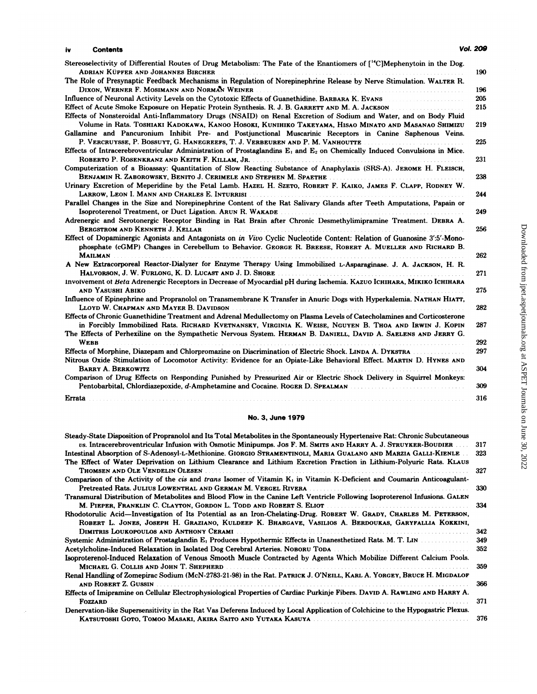ò.

| iv          | <b>Contents</b>                                                                                                                                                                                                      | Vol. 209 |
|-------------|----------------------------------------------------------------------------------------------------------------------------------------------------------------------------------------------------------------------|----------|
|             | Stereoselectivity of Differential Routes of Drug Metabolism: The Fate of the Enantiomers of [ <sup>14</sup> C]Mephenytoin in the Dog.                                                                                |          |
|             | <b>ADRIAN KÜPFER AND JOHANNES BIRCHER</b><br>The Role of Presynaptic Feedback Mechanisms in Regulation of Norepinephrine Release by Nerve Stimulation. WALTER R.                                                     | 190      |
|             | DIXON, WERNER F. MOSIMANN AND NORMAN WEINER AND AND THE CONTRACT OF STATE AND THE CONTRACT OF STATE OF STATE O                                                                                                       | 196      |
|             | Influence of Neuronal Activity Levels on the Cytotoxic Effects of Guanethidine. BARBARA K. EVANS                                                                                                                     | 205      |
|             | Effect of Acute Smoke Exposure on Hepatic Protein Synthesis. R. J. B. GARRETT AND M. A. JACKSON<br>Effects of Nonsteroidal Anti-Inflammatory Drugs (NSAID) on Renal Excretion of Sodium and Water, and on Body Fluid | 215      |
|             | Volume in Rats. Toshiaki Kadokawa, Kanoo Hosoki, Kunihiko Takeyama, Hisao Minato and Masanao Shimizu<br>Gallamine and Pancuronium Inhibit Pre- and Postjunctional Muscarinic Receptors in Canine Saphenous Veins.    | 219      |
|             | P. VERCRUYSSE, P. BOSSUYT, G. HANEGREEFS, T. J. VERBEUREN AND P. M. VANHOUTTE                                                                                                                                        | 225      |
|             | Effects of Intracerebroventricular Administration of Prostaglandins $E_1$ and $E_2$ on Chemically Induced Convulsions in Mice.                                                                                       |          |
|             | Computerization of a Bioassay: Quantitation of Slow Reacting Substance of Anaphylaxis (SRS-A). JEROME H. FLEISCH,                                                                                                    | 231      |
|             | BENJAMIN R. ZABOROWSKY, BENITO J. CERIMELE AND STEPHEN M. SPAETHE                                                                                                                                                    | 238      |
|             | Urinary Excretion of Meperidine by the Fetal Lamb. HAZEL H. SZETO, ROBERT F. KAIKO, JAMES F. CLAPP, RODNEY W.                                                                                                        |          |
|             |                                                                                                                                                                                                                      | 244      |
|             | Parallel Changes in the Size and Norepinephrine Content of the Rat Salivary Glands after Teeth Amputations, Papain or                                                                                                |          |
|             |                                                                                                                                                                                                                      | 249      |
|             | Adrenergic and Serotonergic Receptor Binding in Rat Brain after Chronic Desmethylimipramine Treatment. DEBRA A.                                                                                                      |          |
|             | BERGSTROM AND KENNETH J. KELLAR<br>Effect of Dopaminergic Agonists and Antagonists on in Vivo Cyclic Nucleotide Content: Relation of Guanosine 3':5'-Mono-                                                           | 256      |
|             | phosphate (cGMP) Changes in Cerebellum to Behavior. GEORGE R. BREESE, ROBERT A. MUELLER AND RICHARD B.                                                                                                               |          |
|             |                                                                                                                                                                                                                      | 262      |
|             | A New Extracorporeal Reactor-Dialyzer for Enzyme Therapy Using Immobilized L-Asparaginase, J. A. JACKSON, H. R.                                                                                                      |          |
|             | Halvorson, J. W. Furlong, K. D. Lucast and J. D. Shore <b>Election Construction Construction</b>                                                                                                                     | 271      |
|             | Involvement of Beta Adrenergic Receptors in Decrease of Myocardial pH during Ischemia. KAZUO ICHIHARA, МІКІКО ІСНІНАRA                                                                                               |          |
|             | and Yasushi Abiko<br>Influence of Epinephrine and Propranolol on Transmembrane K Transfer in Anuric Dogs with Hyperkalemia. NATHAN HIATT,                                                                            | 275      |
|             | LLOYD W. CHAPMAN AND MAYER B. DAVIDSON                                                                                                                                                                               | 282      |
|             | Effects of Chronic Guanethidine Treatment and Adrenal Medullectomy on Plasma Levels of Catecholamines and Corticosterone                                                                                             |          |
|             | in Forcibly Immobilized Rats. RICHARD KVETNANSKY, VIRGINIA K. WEISE, NGUYEN B. THOA AND IRWIN J. KOPIN                                                                                                               | 287      |
|             | The Effects of Perhexiline on the Sympathetic Nervous System. HERMAN B. DANIELL, DAVID A. SAELENS AND JERRY G.                                                                                                       |          |
| <b>WEBB</b> |                                                                                                                                                                                                                      | 292      |
|             | Effects of Morphine, Diazepam and Chlorpromazine on Discrimination of Electric Shock. LINDA A. DYKSTRA                                                                                                               | 297      |
|             | Nitrous Oxide Stimulation of Locomotor Activity: Evidence for an Opiate-Like Behavioral Effect. MARTIN D. HYNES AND                                                                                                  |          |
|             | <b>BARRY A. BERKOWITZ</b><br>.<br>Comparison of Drug Effects on Responding Punished by Pressurized Air or Electric Shock Delivery in Squirrel Monkeys:                                                               | 304      |
|             | Pentobarbital, Chlordiazepoxide, d-Amphetamine and Cocaine. ROGER D. SPEALMAN                                                                                                                                        | 309      |
| Errata      |                                                                                                                                                                                                                      |          |
|             |                                                                                                                                                                                                                      | 316      |

| <b>No. 3. June 1979</b>                                                                                                                                                                                                                                                  |
|--------------------------------------------------------------------------------------------------------------------------------------------------------------------------------------------------------------------------------------------------------------------------|
| Steady-State Disposition of Propranolol and Its Total Metabolites in the Spontaneously Hypertensive Rat: Chronic Subcutaneous<br>US. Intracerebroventricular Infusion with Osmotic Minipumps. Jos F. M. SMITS AND HARRY A. J. STRUYKER-BOUDIER                           |
| Intestinal Absorption of S-Adenosyl-L-Methionine. GIORGIO STRAMENTINOLI, MARIA GUALANO AND MARZIA GALLI-KIENLE<br>The Effect of Water Deprivation on Lithium Clearance and Lithium Excretion Fraction in Lithium-Polyuric Rats. KLAUS<br>THOMSEN AND OLE VENDELIN OLESEN |
| Comparison of the Activity of the cis and trans Isomer of Vitamin K <sub>1</sub> in Vitamin K-Deficient and Coumarin Anticoagulant-                                                                                                                                      |
| Transmural Distribution of Metabolites and Blood Flow in the Canine Left Ventricle Following Isoproterenol Infusions. GALEN<br>M. PIEPER, FRANKLIN C. CLAYTON, GORDON L. TODD AND ROBERT S. ELIOT                                                                        |
| Rhodotorulic Acid—Investigation of Its Potential as an Iron-Chelating-Drug. ROBERT W. GRADY, CHARLES M. PETERSON,<br>ROBERT L. JONES, JOSEPH H. GRAZIANO, KULDEEP K. BHARGAVE, VASILIOS A. BERDOUKAS, GARYFALLIA KOKKINI,                                                |
| DIMITRIS LOUKOPOULOS AND ANTHONY CERAMI                                                                                                                                                                                                                                  |
| Systemic Administration of Prostaglandin E <sub>1</sub> Produces Hypothermic Effects in Unanesthetized Rats. M. T. LIN<br>Acetylcholine-Induced Relaxation in Isolated Dog Cerebral Arteries. NOBORU TODA ACCORDINATION CONSERVATION AND                                 |
| Isoproterenol-Induced Relaxation of Venous Smooth Muscle Contracted by Agents Which Mobilize Different Calcium Pools.                                                                                                                                                    |
| Renal Handling of Zomepirac Sodium (McN-2783-21-98) in the Rat. PATRICK J. O'NEILL, KARL A. YORGEY, BRUCE H. MIGDALOF                                                                                                                                                    |
| Effects of Imipramine on Cellular Electrophysiological Properties of Cardiac Purkinje Fibers. DAVID A. RAWLING AND HARRY A.                                                                                                                                              |
| Denervation-like Supersensitivity in the Rat Vas Deferens Induced by Local Application of Colchicine to the Hypogastric Plexus.                                                                                                                                          |

# Downloaded from jpet.aspetjournals.org at ASPET Journals on June 30, 2022 Downloaded from [jpet.aspetjournals.org](http://jpet.aspetjournals.org/) at ASPET Journals on June 30, 2022